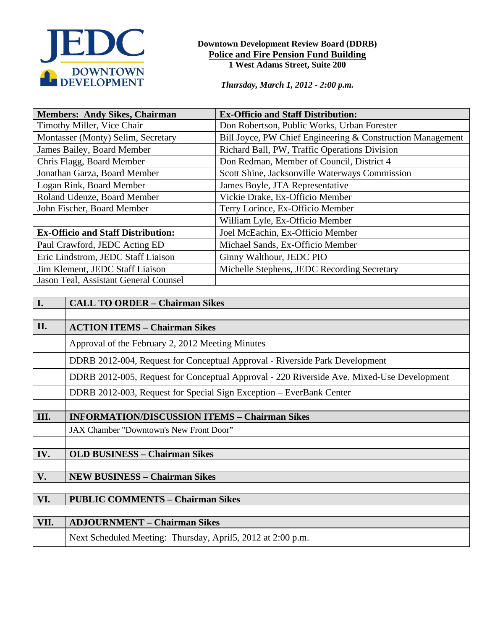

#### **Downtown Development Review Board (DDRB) Police and Fire Pension Fund Building 1 West Adams Street, Suite 200**

*Thursday, March 1, 2012 - 2:00 p.m.*

| <b>Members: Andy Sikes, Chairman</b>           |                                                                                           | <b>Ex-Officio and Staff Distribution:</b>                  |
|------------------------------------------------|-------------------------------------------------------------------------------------------|------------------------------------------------------------|
| Timothy Miller, Vice Chair                     |                                                                                           | Don Robertson, Public Works, Urban Forester                |
| Montasser (Monty) Selim, Secretary             |                                                                                           | Bill Joyce, PW Chief Engineering & Construction Management |
| James Bailey, Board Member                     |                                                                                           | Richard Ball, PW, Traffic Operations Division              |
| Chris Flagg, Board Member                      |                                                                                           | Don Redman, Member of Council, District 4                  |
| Jonathan Garza, Board Member                   |                                                                                           | Scott Shine, Jacksonville Waterways Commission             |
| Logan Rink, Board Member                       |                                                                                           | James Boyle, JTA Representative                            |
| Roland Udenze, Board Member                    |                                                                                           | Vickie Drake, Ex-Officio Member                            |
| John Fischer, Board Member                     |                                                                                           | Terry Lorince, Ex-Officio Member                           |
|                                                |                                                                                           | William Lyle, Ex-Officio Member                            |
| <b>Ex-Officio and Staff Distribution:</b>      |                                                                                           | Joel McEachin, Ex-Officio Member                           |
| Paul Crawford, JEDC Acting ED                  |                                                                                           | Michael Sands, Ex-Officio Member                           |
| Eric Lindstrom, JEDC Staff Liaison             |                                                                                           | Ginny Walthour, JEDC PIO                                   |
| Jim Klement, JEDC Staff Liaison                |                                                                                           | Michelle Stephens, JEDC Recording Secretary                |
| Jason Teal, Assistant General Counsel          |                                                                                           |                                                            |
|                                                |                                                                                           |                                                            |
| I.                                             | <b>CALL TO ORDER - Chairman Sikes</b>                                                     |                                                            |
|                                                |                                                                                           |                                                            |
| II.                                            | <b>ACTION ITEMS - Chairman Sikes</b>                                                      |                                                            |
|                                                | Approval of the February 2, 2012 Meeting Minutes                                          |                                                            |
|                                                | DDRB 2012-004, Request for Conceptual Approval - Riverside Park Development               |                                                            |
|                                                | DDRB 2012-005, Request for Conceptual Approval - 220 Riverside Ave. Mixed-Use Development |                                                            |
|                                                | DDRB 2012-003, Request for Special Sign Exception - EverBank Center                       |                                                            |
|                                                |                                                                                           |                                                            |
| III.                                           | <b>INFORMATION/DISCUSSION ITEMS - Chairman Sikes</b>                                      |                                                            |
|                                                | JAX Chamber "Downtown's New Front Door"                                                   |                                                            |
|                                                |                                                                                           |                                                            |
| IV.                                            | <b>OLD BUSINESS - Chairman Sikes</b>                                                      |                                                            |
| V.                                             | <b>NEW BUSINESS - Chairman Sikes</b>                                                      |                                                            |
|                                                |                                                                                           |                                                            |
| VI.<br><b>PUBLIC COMMENTS - Chairman Sikes</b> |                                                                                           |                                                            |
|                                                |                                                                                           |                                                            |
| VII.                                           | <b>ADJOURNMENT - Chairman Sikes</b>                                                       |                                                            |
|                                                | Next Scheduled Meeting: Thursday, April5, 2012 at 2:00 p.m.                               |                                                            |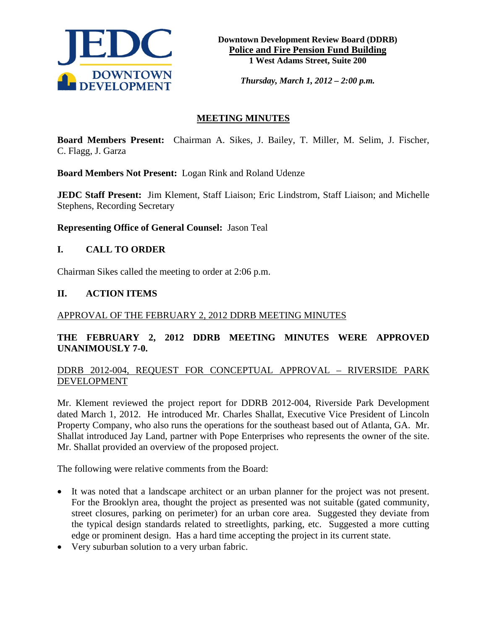

*Thursday, March 1, 2012 – 2:00 p.m.*

# **MEETING MINUTES**

**Board Members Present:** Chairman A. Sikes, J. Bailey, T. Miller, M. Selim, J. Fischer, C. Flagg, J. Garza

**Board Members Not Present:** Logan Rink and Roland Udenze

**JEDC Staff Present:** Jim Klement, Staff Liaison; Eric Lindstrom, Staff Liaison; and Michelle Stephens, Recording Secretary

**Representing Office of General Counsel:** Jason Teal

# **I. CALL TO ORDER**

Chairman Sikes called the meeting to order at 2:06 p.m.

### **II. ACTION ITEMS**

#### APPROVAL OF THE FEBRUARY 2, 2012 DDRB MEETING MINUTES

# **THE FEBRUARY 2, 2012 DDRB MEETING MINUTES WERE APPROVED UNANIMOUSLY 7-0.**

# DDRB 2012-004, REQUEST FOR CONCEPTUAL APPROVAL – RIVERSIDE PARK DEVELOPMENT

Mr. Klement reviewed the project report for DDRB 2012-004, Riverside Park Development dated March 1, 2012. He introduced Mr. Charles Shallat, Executive Vice President of Lincoln Property Company, who also runs the operations for the southeast based out of Atlanta, GA. Mr. Shallat introduced Jay Land, partner with Pope Enterprises who represents the owner of the site. Mr. Shallat provided an overview of the proposed project.

The following were relative comments from the Board:

- It was noted that a landscape architect or an urban planner for the project was not present. For the Brooklyn area, thought the project as presented was not suitable (gated community, street closures, parking on perimeter) for an urban core area. Suggested they deviate from the typical design standards related to streetlights, parking, etc. Suggested a more cutting edge or prominent design. Has a hard time accepting the project in its current state.
- Very suburban solution to a very urban fabric.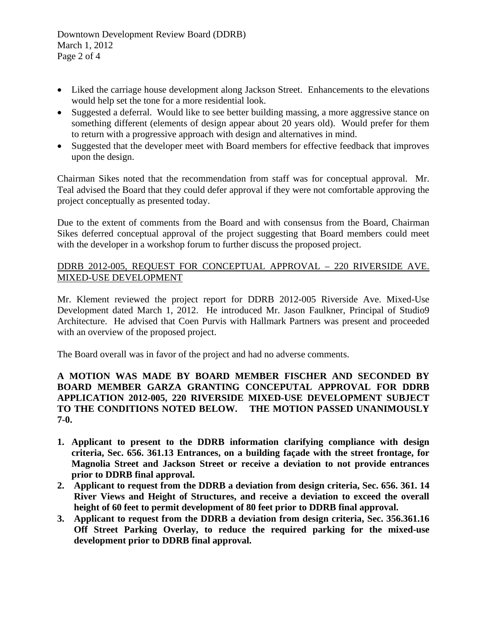- Liked the carriage house development along Jackson Street. Enhancements to the elevations would help set the tone for a more residential look.
- Suggested a deferral. Would like to see better building massing, a more aggressive stance on something different (elements of design appear about 20 years old). Would prefer for them to return with a progressive approach with design and alternatives in mind.
- Suggested that the developer meet with Board members for effective feedback that improves upon the design.

Chairman Sikes noted that the recommendation from staff was for conceptual approval. Mr. Teal advised the Board that they could defer approval if they were not comfortable approving the project conceptually as presented today.

Due to the extent of comments from the Board and with consensus from the Board, Chairman Sikes deferred conceptual approval of the project suggesting that Board members could meet with the developer in a workshop forum to further discuss the proposed project.

# DDRB 2012-005, REQUEST FOR CONCEPTUAL APPROVAL – 220 RIVERSIDE AVE. MIXED-USE DEVELOPMENT

Mr. Klement reviewed the project report for DDRB 2012-005 Riverside Ave. Mixed-Use Development dated March 1, 2012. He introduced Mr. Jason Faulkner, Principal of Studio9 Architecture. He advised that Coen Purvis with Hallmark Partners was present and proceeded with an overview of the proposed project.

The Board overall was in favor of the project and had no adverse comments.

### **A MOTION WAS MADE BY BOARD MEMBER FISCHER AND SECONDED BY BOARD MEMBER GARZA GRANTING CONCEPUTAL APPROVAL FOR DDRB APPLICATION 2012-005, 220 RIVERSIDE MIXED-USE DEVELOPMENT SUBJECT TO THE CONDITIONS NOTED BELOW. THE MOTION PASSED UNANIMOUSLY 7-0.**

- **1. Applicant to present to the DDRB information clarifying compliance with design criteria, Sec. 656. 361.13 Entrances, on a building façade with the street frontage, for Magnolia Street and Jackson Street or receive a deviation to not provide entrances prior to DDRB final approval.**
- **2. Applicant to request from the DDRB a deviation from design criteria, Sec. 656. 361. 14 River Views and Height of Structures, and receive a deviation to exceed the overall height of 60 feet to permit development of 80 feet prior to DDRB final approval.**
- **3. Applicant to request from the DDRB a deviation from design criteria, Sec. 356.361.16 Off Street Parking Overlay, to reduce the required parking for the mixed-use development prior to DDRB final approval.**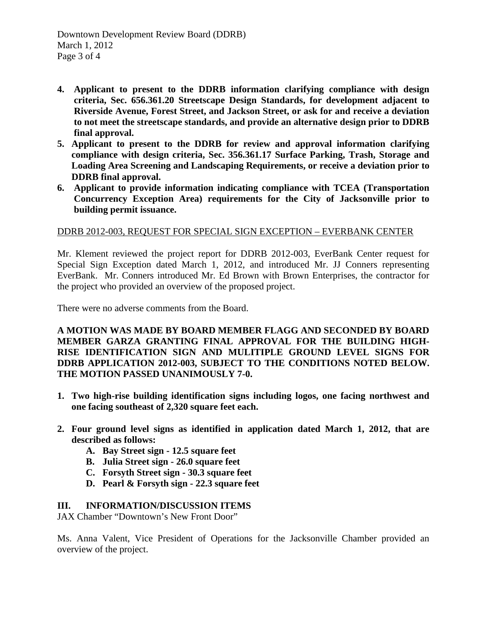- **4. Applicant to present to the DDRB information clarifying compliance with design criteria, Sec. 656.361.20 Streetscape Design Standards, for development adjacent to Riverside Avenue, Forest Street, and Jackson Street, or ask for and receive a deviation to not meet the streetscape standards, and provide an alternative design prior to DDRB final approval.**
- **5. Applicant to present to the DDRB for review and approval information clarifying compliance with design criteria, Sec. 356.361.17 Surface Parking, Trash, Storage and Loading Area Screening and Landscaping Requirements, or receive a deviation prior to DDRB final approval.**
- **6. Applicant to provide information indicating compliance with TCEA (Transportation Concurrency Exception Area) requirements for the City of Jacksonville prior to building permit issuance.**

### DDRB 2012-003, REQUEST FOR SPECIAL SIGN EXCEPTION – EVERBANK CENTER

Mr. Klement reviewed the project report for DDRB 2012-003, EverBank Center request for Special Sign Exception dated March 1, 2012, and introduced Mr. JJ Conners representing EverBank. Mr. Conners introduced Mr. Ed Brown with Brown Enterprises, the contractor for the project who provided an overview of the proposed project.

There were no adverse comments from the Board.

**A MOTION WAS MADE BY BOARD MEMBER FLAGG AND SECONDED BY BOARD MEMBER GARZA GRANTING FINAL APPROVAL FOR THE BUILDING HIGH-RISE IDENTIFICATION SIGN AND MULITIPLE GROUND LEVEL SIGNS FOR DDRB APPLICATION 2012-003, SUBJECT TO THE CONDITIONS NOTED BELOW. THE MOTION PASSED UNANIMOUSLY 7-0.** 

- **1. Two high-rise building identification signs including logos, one facing northwest and one facing southeast of 2,320 square feet each.**
- **2. Four ground level signs as identified in application dated March 1, 2012, that are described as follows:**
	- **A. Bay Street sign - 12.5 square feet**
	- **B. Julia Street sign - 26.0 square feet**
	- **C. Forsyth Street sign - 30.3 square feet**
	- **D. Pearl & Forsyth sign - 22.3 square feet**

#### **III. INFORMATION/DISCUSSION ITEMS**

JAX Chamber "Downtown's New Front Door"

Ms. Anna Valent, Vice President of Operations for the Jacksonville Chamber provided an overview of the project.